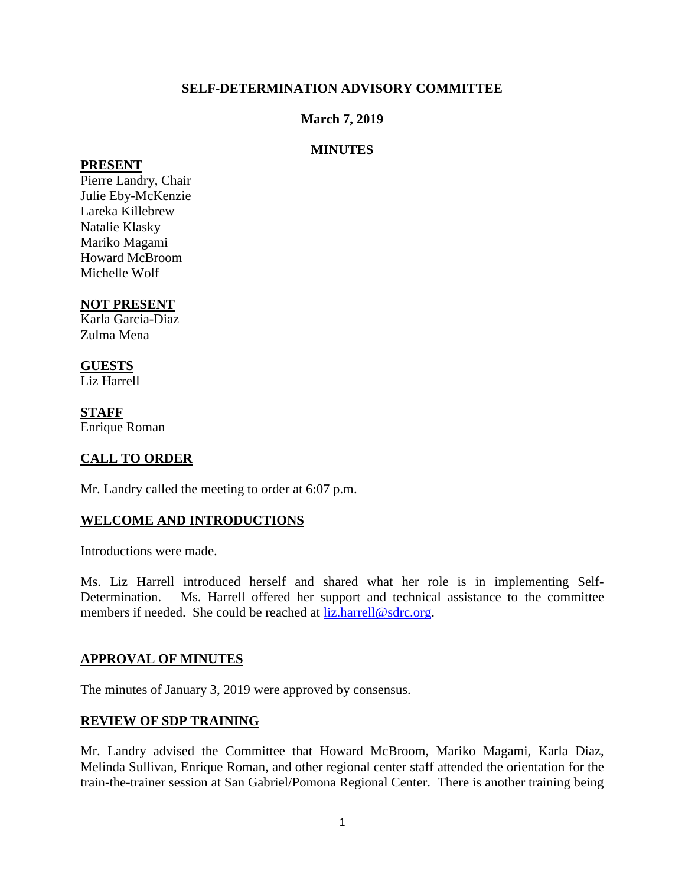## **SELF-DETERMINATION ADVISORY COMMITTEE**

### **March 7, 2019**

## **MINUTES**

#### **PRESENT**

Pierre Landry, Chair Julie Eby-McKenzie Lareka Killebrew Natalie Klasky Mariko Magami Howard McBroom Michelle Wolf

## **NOT PRESENT**

Karla Garcia-Diaz Zulma Mena

## **GUESTS**

Liz Harrell

**STAFF**  Enrique Roman

## **CALL TO ORDER**

Mr. Landry called the meeting to order at 6:07 p.m.

#### **WELCOME AND INTRODUCTIONS**

Introductions were made.

Ms. Liz Harrell introduced herself and shared what her role is in implementing Self-Determination. Ms. Harrell offered her support and technical assistance to the committee members if needed. She could be reached at [liz.harrell@sdrc.org.](mailto:liz.harrell@sdrc.org)

#### **APPROVAL OF MINUTES**

The minutes of January 3, 2019 were approved by consensus.

#### **REVIEW OF SDP TRAINING**

Mr. Landry advised the Committee that Howard McBroom, Mariko Magami, Karla Diaz, Melinda Sullivan, Enrique Roman, and other regional center staff attended the orientation for the train-the-trainer session at San Gabriel/Pomona Regional Center. There is another training being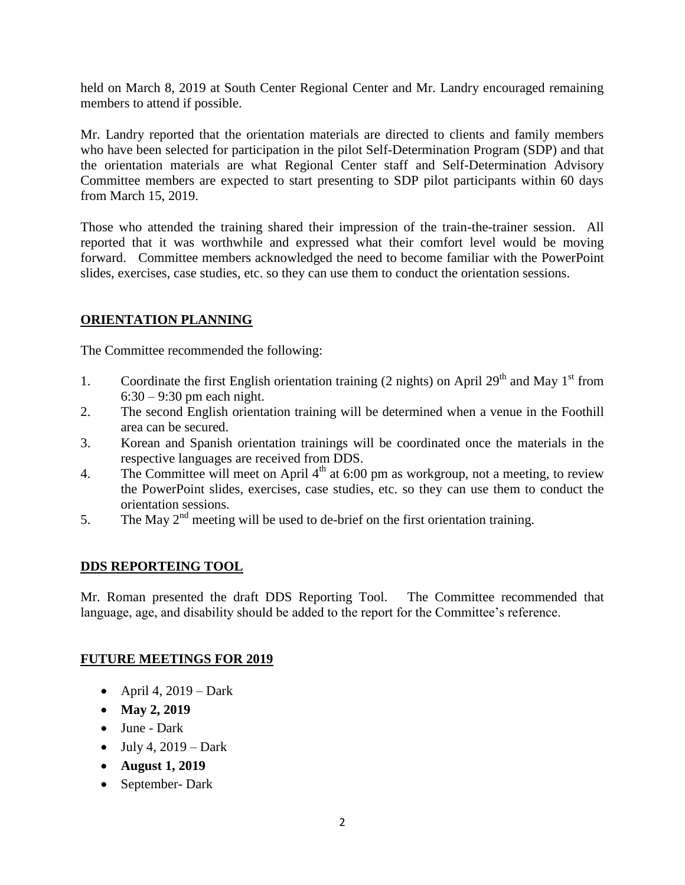held on March 8, 2019 at South Center Regional Center and Mr. Landry encouraged remaining members to attend if possible.

Mr. Landry reported that the orientation materials are directed to clients and family members who have been selected for participation in the pilot Self-Determination Program (SDP) and that the orientation materials are what Regional Center staff and Self-Determination Advisory Committee members are expected to start presenting to SDP pilot participants within 60 days from March 15, 2019.

Those who attended the training shared their impression of the train-the-trainer session. All reported that it was worthwhile and expressed what their comfort level would be moving forward. Committee members acknowledged the need to become familiar with the PowerPoint slides, exercises, case studies, etc. so they can use them to conduct the orientation sessions.

## **ORIENTATION PLANNING**

The Committee recommended the following:

- 1. Coordinate the first English orientation training (2 nights) on April  $29<sup>th</sup>$  and May 1<sup>st</sup> from  $6:30 - 9:30$  pm each night.
- 2. The second English orientation training will be determined when a venue in the Foothill area can be secured.
- 3. Korean and Spanish orientation trainings will be coordinated once the materials in the respective languages are received from DDS.
- 4. The Committee will meet on April  $4<sup>th</sup>$  at 6:00 pm as workgroup, not a meeting, to review the PowerPoint slides, exercises, case studies, etc. so they can use them to conduct the orientation sessions.
- 5. The May  $2<sup>nd</sup>$  meeting will be used to de-brief on the first orientation training.

## **DDS REPORTEING TOOL**

Mr. Roman presented the draft DDS Reporting Tool. The Committee recommended that language, age, and disability should be added to the report for the Committee's reference.

#### **FUTURE MEETINGS FOR 2019**

- $\bullet$  April 4, 2019 Dark
- May 2, 2019
- June Dark
- $\bullet$  July 4, 2019 Dark
- **August 1, 2019**
- September- Dark